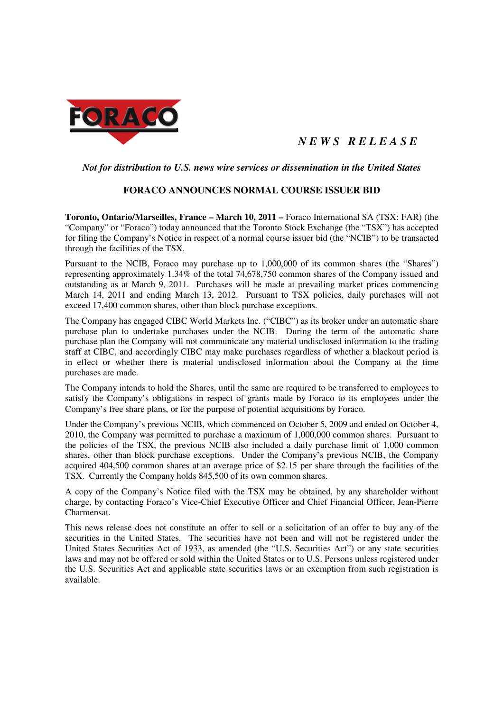

# *N E W S R E L E A S E*

## *Not for distribution to U.S. news wire services or dissemination in the United States*

## **FORACO ANNOUNCES NORMAL COURSE ISSUER BID**

**Toronto, Ontario/Marseilles, France – March 10, 2011 –** Foraco International SA (TSX: FAR) (the "Company" or "Foraco") today announced that the Toronto Stock Exchange (the "TSX") has accepted for filing the Company's Notice in respect of a normal course issuer bid (the "NCIB") to be transacted through the facilities of the TSX.

Pursuant to the NCIB, Foraco may purchase up to 1,000,000 of its common shares (the "Shares") representing approximately 1.34% of the total 74,678,750 common shares of the Company issued and outstanding as at March 9, 2011. Purchases will be made at prevailing market prices commencing March 14, 2011 and ending March 13, 2012. Pursuant to TSX policies, daily purchases will not exceed 17,400 common shares, other than block purchase exceptions.

The Company has engaged CIBC World Markets Inc. ("CIBC") as its broker under an automatic share purchase plan to undertake purchases under the NCIB. During the term of the automatic share purchase plan the Company will not communicate any material undisclosed information to the trading staff at CIBC, and accordingly CIBC may make purchases regardless of whether a blackout period is in effect or whether there is material undisclosed information about the Company at the time purchases are made.

The Company intends to hold the Shares, until the same are required to be transferred to employees to satisfy the Company's obligations in respect of grants made by Foraco to its employees under the Company's free share plans, or for the purpose of potential acquisitions by Foraco.

Under the Company's previous NCIB, which commenced on October 5, 2009 and ended on October 4, 2010, the Company was permitted to purchase a maximum of 1,000,000 common shares. Pursuant to the policies of the TSX, the previous NCIB also included a daily purchase limit of 1,000 common shares, other than block purchase exceptions. Under the Company's previous NCIB, the Company acquired 404,500 common shares at an average price of \$2.15 per share through the facilities of the TSX. Currently the Company holds 845,500 of its own common shares.

A copy of the Company's Notice filed with the TSX may be obtained, by any shareholder without charge, by contacting Foraco's Vice-Chief Executive Officer and Chief Financial Officer, Jean-Pierre Charmensat.

This news release does not constitute an offer to sell or a solicitation of an offer to buy any of the securities in the United States. The securities have not been and will not be registered under the United States Securities Act of 1933, as amended (the "U.S. Securities Act") or any state securities laws and may not be offered or sold within the United States or to U.S. Persons unless registered under the U.S. Securities Act and applicable state securities laws or an exemption from such registration is available.